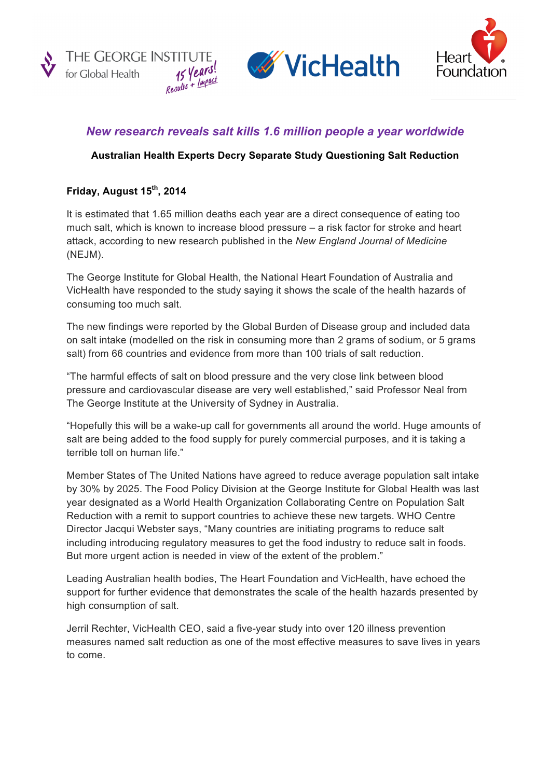





# *New research reveals salt kills 1.6 million people a year worldwide*

## **Australian Health Experts Decry Separate Study Questioning Salt Reduction**

## **Friday, August 15th, 2014**

It is estimated that 1.65 million deaths each year are a direct consequence of eating too much salt, which is known to increase blood pressure – a risk factor for stroke and heart attack, according to new research published in the *New England Journal of Medicine* (NEJM).

The George Institute for Global Health, the National Heart Foundation of Australia and VicHealth have responded to the study saying it shows the scale of the health hazards of consuming too much salt.

The new findings were reported by the Global Burden of Disease group and included data on salt intake (modelled on the risk in consuming more than 2 grams of sodium, or 5 grams salt) from 66 countries and evidence from more than 100 trials of salt reduction.

"The harmful effects of salt on blood pressure and the very close link between blood pressure and cardiovascular disease are very well established," said Professor Neal from The George Institute at the University of Sydney in Australia.

"Hopefully this will be a wake-up call for governments all around the world. Huge amounts of salt are being added to the food supply for purely commercial purposes, and it is taking a terrible toll on human life."

Member States of The United Nations have agreed to reduce average population salt intake by 30% by 2025. The Food Policy Division at the George Institute for Global Health was last year designated as a World Health Organization Collaborating Centre on Population Salt Reduction with a remit to support countries to achieve these new targets. WHO Centre Director Jacqui Webster says, "Many countries are initiating programs to reduce salt including introducing regulatory measures to get the food industry to reduce salt in foods. But more urgent action is needed in view of the extent of the problem."

Leading Australian health bodies, The Heart Foundation and VicHealth, have echoed the support for further evidence that demonstrates the scale of the health hazards presented by high consumption of salt.

Jerril Rechter, VicHealth CEO, said a five-year study into over 120 illness prevention measures named salt reduction as one of the most effective measures to save lives in years to come.